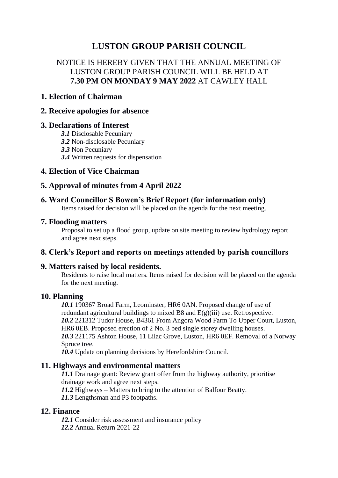# **LUSTON GROUP PARISH COUNCIL**

## NOTICE IS HEREBY GIVEN THAT THE ANNUAL MEETING OF LUSTON GROUP PARISH COUNCIL WILL BE HELD AT **7.30 PM ON MONDAY 9 MAY 2022** AT CAWLEY HALL

#### **1. Election of Chairman**

#### **2. Receive apologies for absence**

#### **3. Declarations of Interest**

- *3.1* Disclosable Pecuniary
- *3.2* Non-disclosable Pecuniary
- *3.3* Non Pecuniary
- *3.4* Written requests for dispensation

### **4. Election of Vice Chairman**

## **5. Approval of minutes from 4 April 2022**

### **6. Ward Councillor S Bowen's Brief Report (for information only)**

Items raised for decision will be placed on the agenda for the next meeting.

#### **7. Flooding matters**

Proposal to set up a flood group, update on site meeting to review hydrology report and agree next steps.

### **8. Clerk's Report and reports on meetings attended by parish councillors**

### **9. Matters raised by local residents.**

Residents to raise local matters. Items raised for decision will be placed on the agenda for the next meeting.

#### **10. Planning**

*10.1* 190367 Broad Farm, Leominster, HR6 0AN. Proposed change of use of redundant agricultural buildings to mixed B8 and E(g)(iii) use. Retrospective. *10.2* 221312 Tudor House, B4361 From Angora Wood Farm To Upper Court, Luston, HR6 0EB. Proposed erection of 2 No. 3 bed single storey dwelling houses. *10.3* 221175 Ashton House, 11 Lilac Grove, Luston, HR6 0EF. Removal of a Norway Spruce tree.

*10.4* Update on planning decisions by Herefordshire Council.

### **11. Highways and environmental matters**

*11.1* Drainage grant: Review grant offer from the highway authority, prioritise drainage work and agree next steps.

*11.2* Highways – Matters to bring to the attention of Balfour Beatty. *11.3* Lengthsman and P3 footpaths.

### **12. Finance**

*12.1* Consider risk assessment and insurance policy *12.2* Annual Return 2021-22